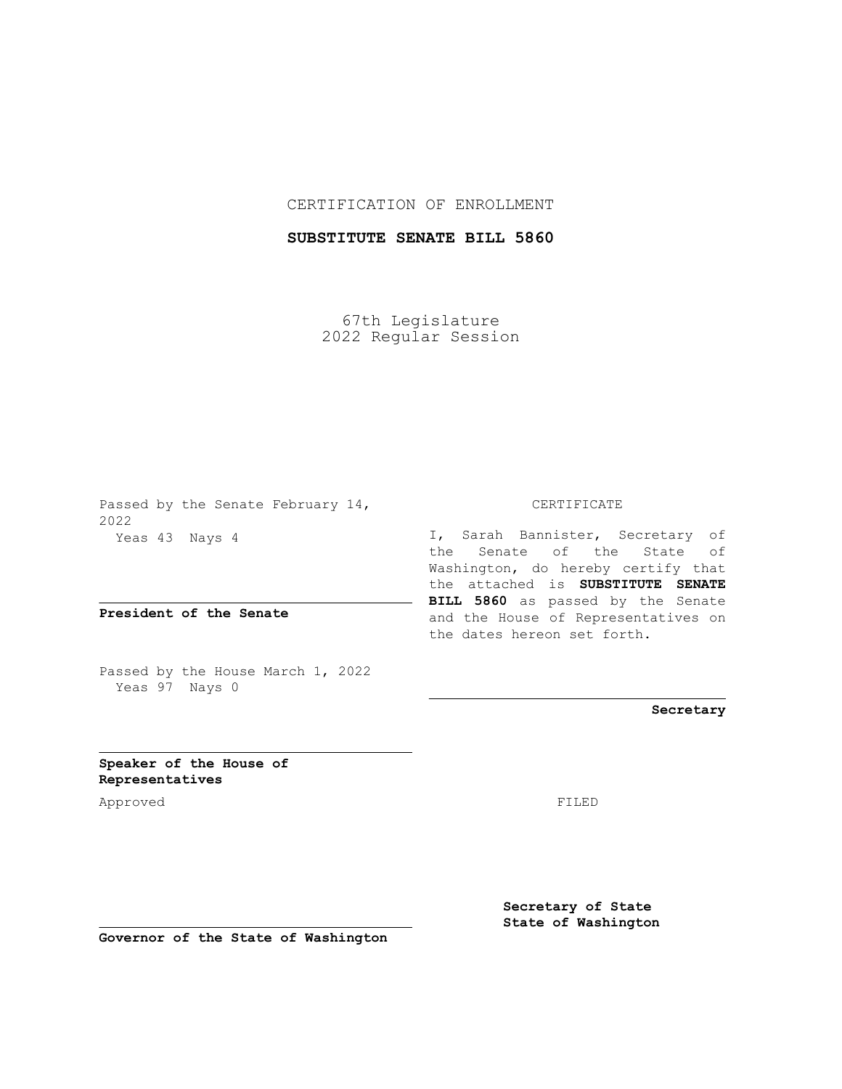## CERTIFICATION OF ENROLLMENT

## **SUBSTITUTE SENATE BILL 5860**

67th Legislature 2022 Regular Session

Passed by the Senate February 14, 2022 Yeas 43 Nays 4

**President of the Senate**

Passed by the House March 1, 2022 Yeas 97 Nays 0

## CERTIFICATE

I, Sarah Bannister, Secretary of the Senate of the State of Washington, do hereby certify that the attached is **SUBSTITUTE SENATE BILL 5860** as passed by the Senate and the House of Representatives on the dates hereon set forth.

**Secretary**

**Speaker of the House of Representatives**

Approved FILED

**Secretary of State State of Washington**

**Governor of the State of Washington**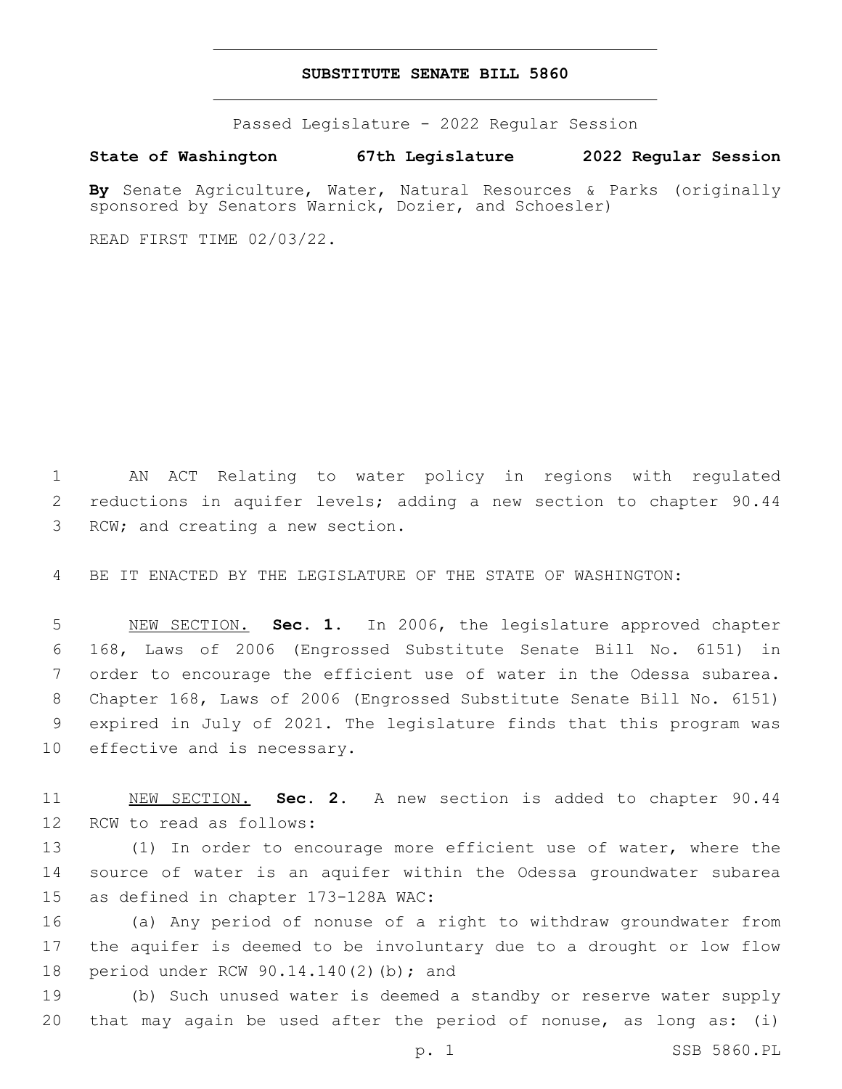## **SUBSTITUTE SENATE BILL 5860**

Passed Legislature - 2022 Regular Session

**State of Washington 67th Legislature 2022 Regular Session**

**By** Senate Agriculture, Water, Natural Resources & Parks (originally sponsored by Senators Warnick, Dozier, and Schoesler)

READ FIRST TIME 02/03/22.

1 AN ACT Relating to water policy in regions with regulated 2 reductions in aquifer levels; adding a new section to chapter 90.44 3 RCW; and creating a new section.

4 BE IT ENACTED BY THE LEGISLATURE OF THE STATE OF WASHINGTON:

 NEW SECTION. **Sec. 1.** In 2006, the legislature approved chapter 168, Laws of 2006 (Engrossed Substitute Senate Bill No. 6151) in order to encourage the efficient use of water in the Odessa subarea. Chapter 168, Laws of 2006 (Engrossed Substitute Senate Bill No. 6151) expired in July of 2021. The legislature finds that this program was effective and is necessary.

11 NEW SECTION. **Sec. 2.** A new section is added to chapter 90.44 12 RCW to read as follows:

13 (1) In order to encourage more efficient use of water, where the 14 source of water is an aquifer within the Odessa groundwater subarea 15 as defined in chapter 173-128A WAC:

16 (a) Any period of nonuse of a right to withdraw groundwater from 17 the aquifer is deemed to be involuntary due to a drought or low flow 18 period under RCW 90.14.140(2)(b); and

19 (b) Such unused water is deemed a standby or reserve water supply 20 that may again be used after the period of nonuse, as long as: (i)